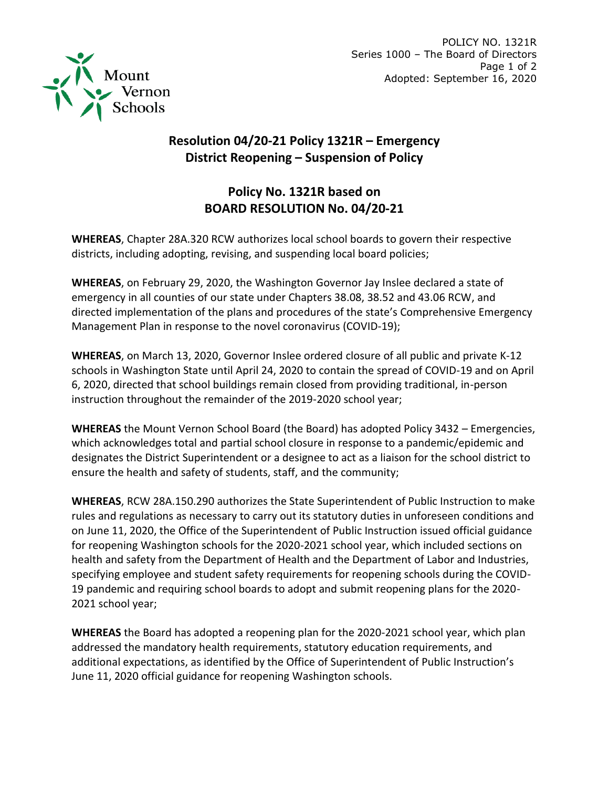

## **Resolution 04/20-21 Policy 1321R – Emergency District Reopening – Suspension of Policy**

## **Policy No. 1321R based on BOARD RESOLUTION No. 04/20-21**

**WHEREAS**, Chapter 28A.320 RCW authorizes local school boards to govern their respective districts, including adopting, revising, and suspending local board policies;

**WHEREAS**, on February 29, 2020, the Washington Governor Jay Inslee declared a state of emergency in all counties of our state under Chapters 38.08, 38.52 and 43.06 RCW, and directed implementation of the plans and procedures of the state's Comprehensive Emergency Management Plan in response to the novel coronavirus (COVID-19);

**WHEREAS**, on March 13, 2020, Governor Inslee ordered closure of all public and private K-12 schools in Washington State until April 24, 2020 to contain the spread of COVID-19 and on April 6, 2020, directed that school buildings remain closed from providing traditional, in-person instruction throughout the remainder of the 2019-2020 school year;

**WHEREAS** the Mount Vernon School Board (the Board) has adopted Policy 3432 – Emergencies, which acknowledges total and partial school closure in response to a pandemic/epidemic and designates the District Superintendent or a designee to act as a liaison for the school district to ensure the health and safety of students, staff, and the community;

**WHEREAS**, RCW 28A.150.290 authorizes the State Superintendent of Public Instruction to make rules and regulations as necessary to carry out its statutory duties in unforeseen conditions and on June 11, 2020, the Office of the Superintendent of Public Instruction issued official guidance for reopening Washington schools for the 2020-2021 school year, which included sections on health and safety from the Department of Health and the Department of Labor and Industries, specifying employee and student safety requirements for reopening schools during the COVID-19 pandemic and requiring school boards to adopt and submit reopening plans for the 2020- 2021 school year;

**WHEREAS** the Board has adopted a reopening plan for the 2020-2021 school year, which plan addressed the mandatory health requirements, statutory education requirements, and additional expectations, as identified by the Office of Superintendent of Public Instruction's June 11, 2020 official guidance for reopening Washington schools.